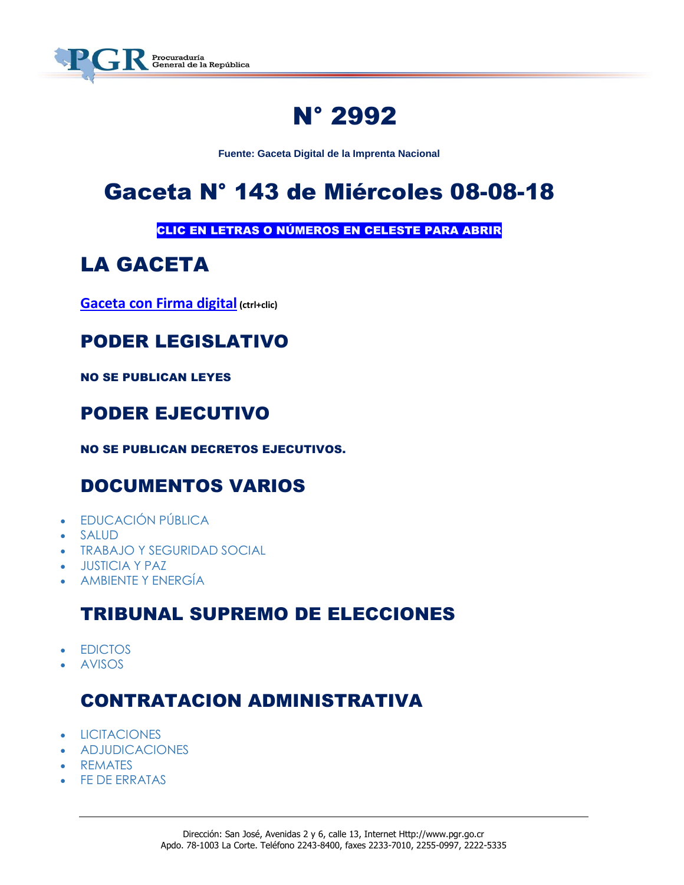

# N° 2992

**Fuente: Gaceta Digital de la Imprenta Nacional**

# Gaceta N° 143 de Miércoles 08-08-18

CLIC EN LETRAS O NÚMEROS EN CELESTE PARA ABRIR

# LA GACETA

**[Gaceta con Firma digital](https://www.imprentanacional.go.cr/pub/2018/08/08/COMP_08_08_2018.pdf) (ctrl+clic)**

### PODER LEGISLATIVO

NO SE PUBLICAN LEYES

## PODER EJECUTIVO

NO SE PUBLICAN DECRETOS EJECUTIVOS.

## DOCUMENTOS VARIOS

- **[EDUCACIÓN PÚBLICA](https://www.imprentanacional.go.cr/gaceta/#educacin-pblica)**
- [SALUD](https://www.imprentanacional.go.cr/gaceta/#salud)
- [TRABAJO Y SEGURIDAD SOCIAL](https://www.imprentanacional.go.cr/gaceta/#trabajo-y-seguridad-social)
- [JUSTICIA Y PAZ](https://www.imprentanacional.go.cr/gaceta/#justicia-y-paz)
- [AMBIENTE Y ENERGÍA](https://www.imprentanacional.go.cr/gaceta/#ambiente-y-energa)

### TRIBUNAL SUPREMO DE ELECCIONES

- [EDICTOS](https://www.imprentanacional.go.cr/gaceta/#edictos)
- [AVISOS](https://www.imprentanacional.go.cr/gaceta/#avisos)

### CONTRATACION ADMINISTRATIVA

- [LICITACIONES](https://www.imprentanacional.go.cr/gaceta/#licitaciones)
- [ADJUDICACIONES](https://www.imprentanacional.go.cr/gaceta/#adjudicaciones)
- [REMATES](https://www.imprentanacional.go.cr/gaceta/#remates)
- [FE DE ERRATAS](https://www.imprentanacional.go.cr/gaceta/#fe-de-erratas)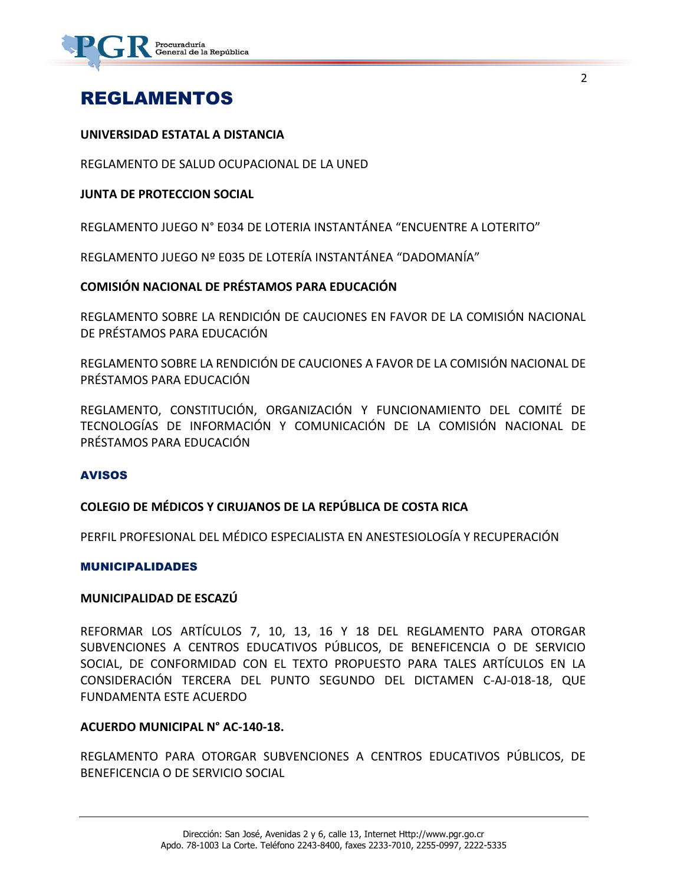

### REGLAMENTOS

#### **UNIVERSIDAD ESTATAL A DISTANCIA**

REGLAMENTO DE SALUD OCUPACIONAL DE LA UNED

#### **JUNTA DE PROTECCION SOCIAL**

REGLAMENTO JUEGO N° E034 DE LOTERIA INSTANTÁNEA "ENCUENTRE A LOTERITO"

REGLAMENTO JUEGO Nº E035 DE LOTERÍA INSTANTÁNEA "DADOMANÍA"

#### **COMISIÓN NACIONAL DE PRÉSTAMOS PARA EDUCACIÓN**

REGLAMENTO SOBRE LA RENDICIÓN DE CAUCIONES EN FAVOR DE LA COMISIÓN NACIONAL DE PRÉSTAMOS PARA EDUCACIÓN

REGLAMENTO SOBRE LA RENDICIÓN DE CAUCIONES A FAVOR DE LA COMISIÓN NACIONAL DE PRÉSTAMOS PARA EDUCACIÓN

REGLAMENTO, CONSTITUCIÓN, ORGANIZACIÓN Y FUNCIONAMIENTO DEL COMITÉ DE TECNOLOGÍAS DE INFORMACIÓN Y COMUNICACIÓN DE LA COMISIÓN NACIONAL DE PRÉSTAMOS PARA EDUCACIÓN

#### AVISOS

#### **COLEGIO DE MÉDICOS Y CIRUJANOS DE LA REPÚBLICA DE COSTA RICA**

PERFIL PROFESIONAL DEL MÉDICO ESPECIALISTA EN ANESTESIOLOGÍA Y RECUPERACIÓN

#### MUNICIPALIDADES

#### **MUNICIPALIDAD DE ESCAZÚ**

REFORMAR LOS ARTÍCULOS 7, 10, 13, 16 Y 18 DEL REGLAMENTO PARA OTORGAR SUBVENCIONES A CENTROS EDUCATIVOS PÚBLICOS, DE BENEFICENCIA O DE SERVICIO SOCIAL, DE CONFORMIDAD CON EL TEXTO PROPUESTO PARA TALES ARTÍCULOS EN LA CONSIDERACIÓN TERCERA DEL PUNTO SEGUNDO DEL DICTAMEN C-AJ-018-18, QUE FUNDAMENTA ESTE ACUERDO

#### **ACUERDO MUNICIPAL N° AC-140-18.**

REGLAMENTO PARA OTORGAR SUBVENCIONES A CENTROS EDUCATIVOS PÚBLICOS, DE BENEFICENCIA O DE SERVICIO SOCIAL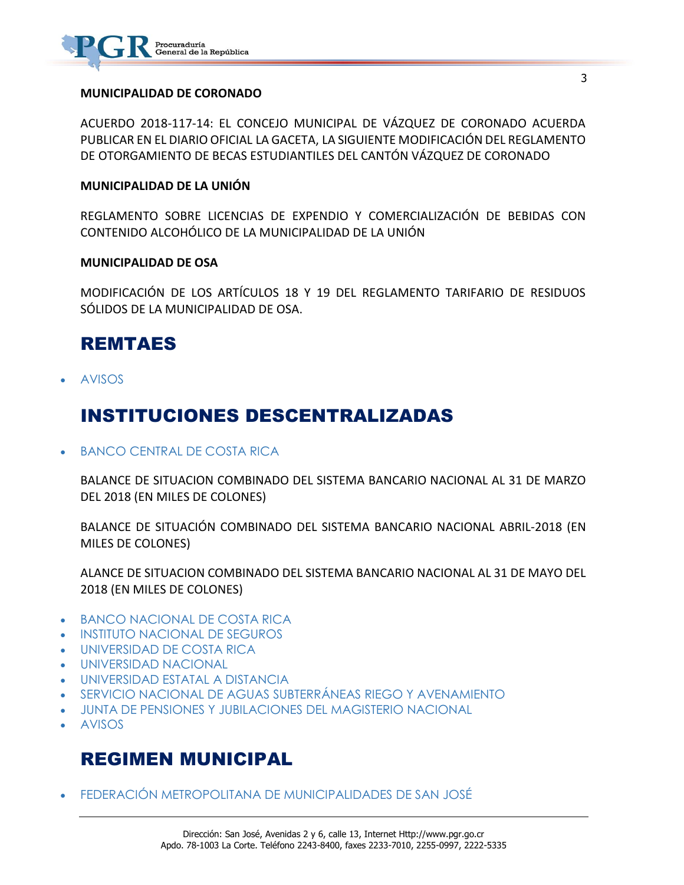

#### **MUNICIPALIDAD DE CORONADO**

ACUERDO 2018-117-14: EL CONCEJO MUNICIPAL DE VÁZQUEZ DE CORONADO ACUERDA PUBLICAR EN EL DIARIO OFICIAL LA GACETA, LA SIGUIENTE MODIFICACIÓN DEL REGLAMENTO DE OTORGAMIENTO DE BECAS ESTUDIANTILES DEL CANTÓN VÁZQUEZ DE CORONADO

#### **MUNICIPALIDAD DE LA UNIÓN**

REGLAMENTO SOBRE LICENCIAS DE EXPENDIO Y COMERCIALIZACIÓN DE BEBIDAS CON CONTENIDO ALCOHÓLICO DE LA MUNICIPALIDAD DE LA UNIÓN

#### **MUNICIPALIDAD DE OSA**

MODIFICACIÓN DE LOS ARTÍCULOS 18 Y 19 DEL REGLAMENTO TARIFARIO DE RESIDUOS SÓLIDOS DE LA MUNICIPALIDAD DE OSA.

### REMTAES

[AVISOS](https://www.imprentanacional.go.cr/gaceta/#avisos)

### INSTITUCIONES DESCENTRALIZADAS

[BANCO CENTRAL DE COSTA RICA](https://www.imprentanacional.go.cr/gaceta/#banco-central-de-costa-rica)

BALANCE DE SITUACION COMBINADO DEL SISTEMA BANCARIO NACIONAL AL 31 DE MARZO DEL 2018 (EN MILES DE COLONES)

BALANCE DE SITUACIÓN COMBINADO DEL SISTEMA BANCARIO NACIONAL ABRIL-2018 (EN MILES DE COLONES)

ALANCE DE SITUACION COMBINADO DEL SISTEMA BANCARIO NACIONAL AL 31 DE MAYO DEL 2018 (EN MILES DE COLONES)

- [BANCO NACIONAL DE COSTA RICA](https://www.imprentanacional.go.cr/gaceta/#banco-nacional-de-costa-rica)
- [INSTITUTO NACIONAL DE SEGUROS](https://www.imprentanacional.go.cr/gaceta/#instituto-nacional-de-seguros)
- [UNIVERSIDAD DE COSTA RICA](https://www.imprentanacional.go.cr/gaceta/#universidad-de-costa-rica)
- [UNIVERSIDAD NACIONAL](https://www.imprentanacional.go.cr/gaceta/#universidad-nacional)
- [UNIVERSIDAD ESTATAL A DISTANCIA](https://www.imprentanacional.go.cr/gaceta/#universidad-estatal-a-distancia)
- [SERVICIO NACIONAL DE AGUAS](https://www.imprentanacional.go.cr/gaceta/#servicio-nacional-de-aguas-subterrneas-) SUBTERRÁNEAS [RIEGO Y AVENAMIENTO](https://www.imprentanacional.go.cr/gaceta/#-riego-yavenamiento)
- [JUNTA DE PENSIONES Y JUBILACIONES](https://www.imprentanacional.go.cr/gaceta/#junta-de-pensiones-y-jubilaciones) [DEL MAGISTERIO NACIONAL](https://www.imprentanacional.go.cr/gaceta/#-del-magisterionacional)
- [AVISOS](https://www.imprentanacional.go.cr/gaceta/#avisos)

### REGIMEN MUNICIPAL

[FEDERACIÓN METROPOLITANA](https://www.imprentanacional.go.cr/gaceta/#federacin-metropolitana) [DE MUNICIPALIDADES DE SAN JOSÉ](https://www.imprentanacional.go.cr/gaceta/#demunicipalidades-de-san-jos)